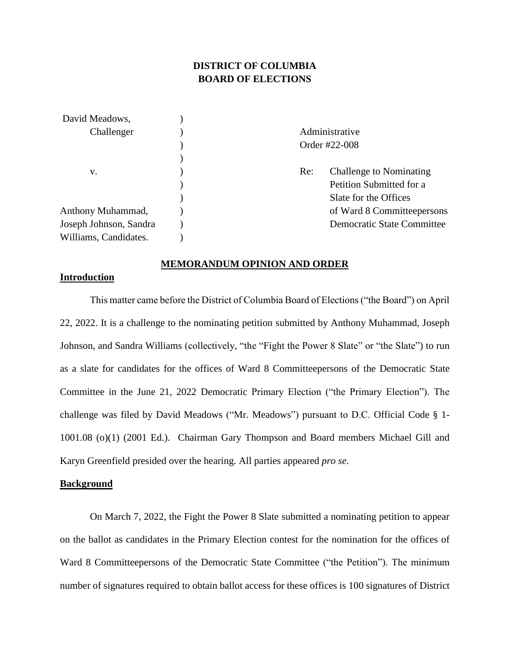# **DISTRICT OF COLUMBIA BOARD OF ELECTIONS**

| David Meadows,         |     |                                   |  |
|------------------------|-----|-----------------------------------|--|
| Challenger             |     | Administrative                    |  |
|                        |     | Order #22-008                     |  |
|                        |     |                                   |  |
| V.                     | Re: | Challenge to Nominating           |  |
|                        |     | Petition Submitted for a          |  |
|                        |     | Slate for the Offices             |  |
| Anthony Muhammad,      |     | of Ward 8 Committeepersons        |  |
| Joseph Johnson, Sandra |     | <b>Democratic State Committee</b> |  |
| Williams, Candidates.  |     |                                   |  |

#### **MEMORANDUM OPINION AND ORDER**

# **Introduction**

This matter came before the District of Columbia Board of Elections ("the Board") on April 22, 2022. It is a challenge to the nominating petition submitted by Anthony Muhammad, Joseph Johnson, and Sandra Williams (collectively, "the "Fight the Power 8 Slate" or "the Slate") to run as a slate for candidates for the offices of Ward 8 Committeepersons of the Democratic State Committee in the June 21, 2022 Democratic Primary Election ("the Primary Election"). The challenge was filed by David Meadows ("Mr. Meadows") pursuant to D.C. Official Code § 1- 1001.08 (o)(1) (2001 Ed.). Chairman Gary Thompson and Board members Michael Gill and Karyn Greenfield presided over the hearing. All parties appeared *pro se*.

## **Background**

On March 7, 2022, the Fight the Power 8 Slate submitted a nominating petition to appear on the ballot as candidates in the Primary Election contest for the nomination for the offices of Ward 8 Committeepersons of the Democratic State Committee ("the Petition"). The minimum number of signatures required to obtain ballot access for these offices is 100 signatures of District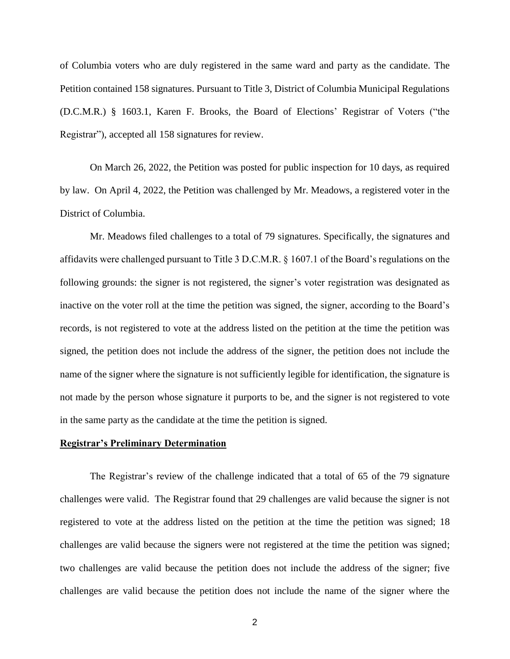of Columbia voters who are duly registered in the same ward and party as the candidate. The Petition contained 158 signatures. Pursuant to Title 3, District of Columbia Municipal Regulations (D.C.M.R.) § 1603.1, Karen F. Brooks, the Board of Elections' Registrar of Voters ("the Registrar"), accepted all 158 signatures for review.

On March 26, 2022, the Petition was posted for public inspection for 10 days, as required by law. On April 4, 2022, the Petition was challenged by Mr. Meadows, a registered voter in the District of Columbia.

Mr. Meadows filed challenges to a total of 79 signatures. Specifically, the signatures and affidavits were challenged pursuant to Title 3 D.C.M.R. § 1607.1 of the Board's regulations on the following grounds: the signer is not registered, the signer's voter registration was designated as inactive on the voter roll at the time the petition was signed, the signer, according to the Board's records, is not registered to vote at the address listed on the petition at the time the petition was signed, the petition does not include the address of the signer, the petition does not include the name of the signer where the signature is not sufficiently legible for identification, the signature is not made by the person whose signature it purports to be, and the signer is not registered to vote in the same party as the candidate at the time the petition is signed.

# **Registrar's Preliminary Determination**

The Registrar's review of the challenge indicated that a total of 65 of the 79 signature challenges were valid. The Registrar found that 29 challenges are valid because the signer is not registered to vote at the address listed on the petition at the time the petition was signed; 18 challenges are valid because the signers were not registered at the time the petition was signed; two challenges are valid because the petition does not include the address of the signer; five challenges are valid because the petition does not include the name of the signer where the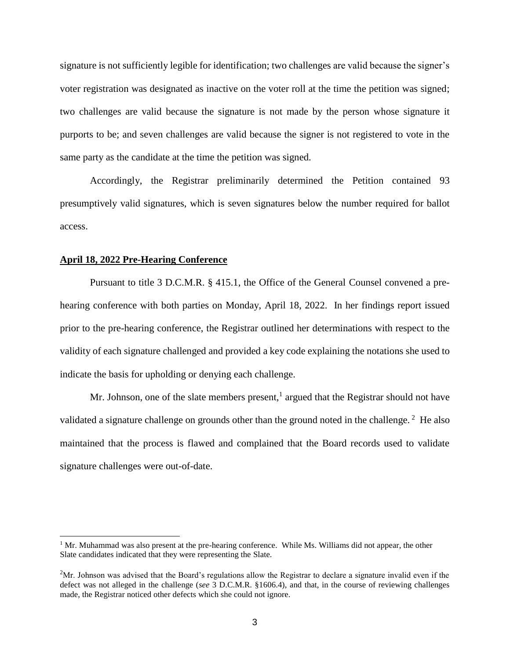signature is not sufficiently legible for identification; two challenges are valid because the signer's voter registration was designated as inactive on the voter roll at the time the petition was signed; two challenges are valid because the signature is not made by the person whose signature it purports to be; and seven challenges are valid because the signer is not registered to vote in the same party as the candidate at the time the petition was signed.

Accordingly, the Registrar preliminarily determined the Petition contained 93 presumptively valid signatures, which is seven signatures below the number required for ballot access.

#### **April 18, 2022 Pre-Hearing Conference**

Pursuant to title 3 D.C.M.R. § 415.1, the Office of the General Counsel convened a prehearing conference with both parties on Monday, April 18, 2022. In her findings report issued prior to the pre-hearing conference, the Registrar outlined her determinations with respect to the validity of each signature challenged and provided a key code explaining the notations she used to indicate the basis for upholding or denying each challenge.

Mr. Johnson, one of the slate members present, $<sup>1</sup>$  argued that the Registrar should not have</sup> validated a signature challenge on grounds other than the ground noted in the challenge.<sup>2</sup> He also maintained that the process is flawed and complained that the Board records used to validate signature challenges were out-of-date.

<sup>&</sup>lt;sup>1</sup> Mr. Muhammad was also present at the pre-hearing conference. While Ms. Williams did not appear, the other Slate candidates indicated that they were representing the Slate.

 $2<sup>2</sup>$ Mr. Johnson was advised that the Board's regulations allow the Registrar to declare a signature invalid even if the defect was not alleged in the challenge (*see* 3 D.C.M.R. §1606.4), and that, in the course of reviewing challenges made, the Registrar noticed other defects which she could not ignore.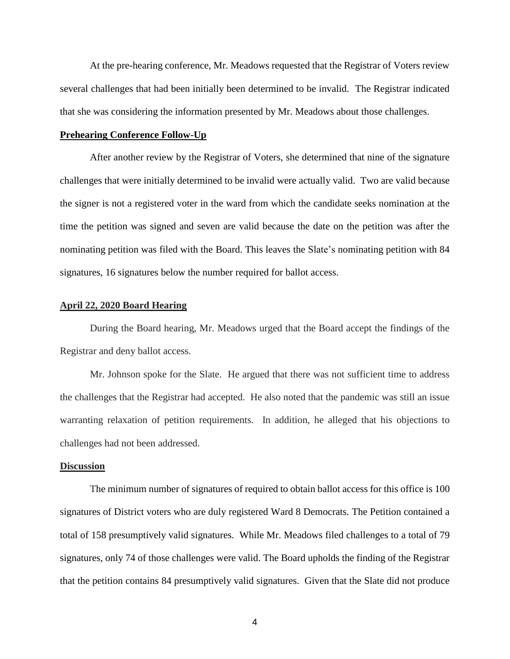At the pre-hearing conference, Mr. Meadows requested that the Registrar of Voters review several challenges that had been initially been determined to be invalid. The Registrar indicated that she was considering the information presented by Mr. Meadows about those challenges.

#### **Prehearing Conference Follow-Up**

After another review by the Registrar of Voters, she determined that nine of the signature challenges that were initially determined to be invalid were actually valid. Two are valid because the signer is not a registered voter in the ward from which the candidate seeks nomination at the time the petition was signed and seven are valid because the date on the petition was after the nominating petition was filed with the Board. This leaves the Slate's nominating petition with 84 signatures, 16 signatures below the number required for ballot access.

# **April 22, 2020 Board Hearing**

During the Board hearing, Mr. Meadows urged that the Board accept the findings of the Registrar and deny ballot access.

Mr. Johnson spoke for the Slate. He argued that there was not sufficient time to address the challenges that the Registrar had accepted. He also noted that the pandemic was still an issue warranting relaxation of petition requirements. In addition, he alleged that his objections to challenges had not been addressed.

### **Discussion**

The minimum number of signatures of required to obtain ballot access for this office is 100 signatures of District voters who are duly registered Ward 8 Democrats. The Petition contained a total of 158 presumptively valid signatures. While Mr. Meadows filed challenges to a total of 79 signatures, only 74 of those challenges were valid. The Board upholds the finding of the Registrar that the petition contains 84 presumptively valid signatures. Given that the Slate did not produce